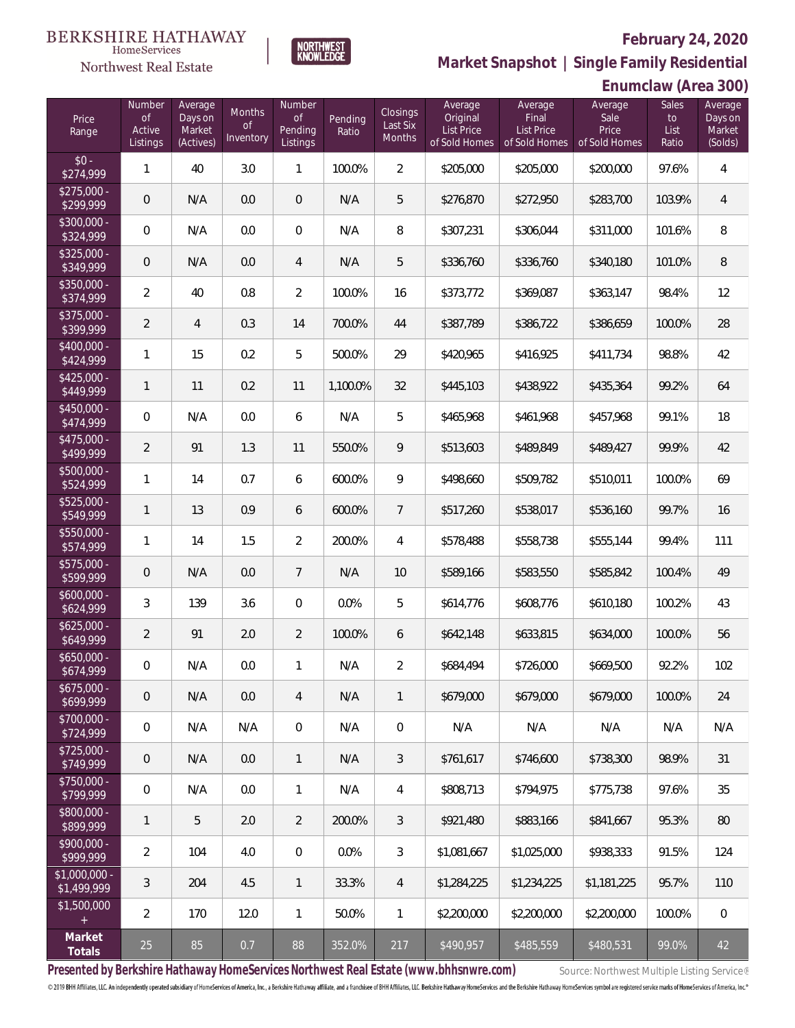

 $\label{lem:sevices} \textsc{Home} \textsc{Service} \textsc{s}$ 

**Market Snapshot | Single Family Residential**

|                               | <b>Northwest Real Estate</b>                  |                                           | -                                | NWHLLVL                                        |                  |                                |                                                           |                                                 |               | Market Snapshot   Single Family Residential<br>Enumclaw (Area 300)<br>Sales<br>Average<br>Sale<br>to<br>Price<br>List<br>Ratio<br>97.6%<br>103.9%<br>101.6%<br>101.0%<br>98.4%<br>100.0%<br>98.8%<br>99.2%<br>99.1%<br>99.9%<br>100.0%<br>99.7%<br>99.4%<br>100.4%<br>100.2%<br>100.0%<br>92.2%<br>100.0%<br>N/A<br>N/A<br>98.9%<br>97.6%<br>95.3% |                                         |  |  |
|-------------------------------|-----------------------------------------------|-------------------------------------------|----------------------------------|------------------------------------------------|------------------|--------------------------------|-----------------------------------------------------------|-------------------------------------------------|---------------|----------------------------------------------------------------------------------------------------------------------------------------------------------------------------------------------------------------------------------------------------------------------------------------------------------------------------------------------------|-----------------------------------------|--|--|
|                               |                                               |                                           |                                  |                                                |                  |                                |                                                           |                                                 |               |                                                                                                                                                                                                                                                                                                                                                    |                                         |  |  |
| Price<br>Range                | Number<br>$\mathsf{of}$<br>Active<br>Listings | Average<br>Days on<br>Market<br>(Actives) | Months<br>$\circ f$<br>Inventory | Number<br>$\mathsf{of}$<br>Pending<br>Listings | Pending<br>Ratio | Closings<br>Last Six<br>Months | Average<br>Original<br><b>List Price</b><br>of Sold Homes | Average<br>Final<br>List Price<br>of Sold Homes | of Sold Homes |                                                                                                                                                                                                                                                                                                                                                    | Average<br>Days on<br>Market<br>(Solds) |  |  |
| $$0 -$<br>\$274,999           | $\mathbf{1}$                                  | 40                                        | 3.0                              | $\mathbf{1}$                                   | 100.0%           | $\overline{2}$                 | \$205,000                                                 | \$205,000                                       | \$200,000     |                                                                                                                                                                                                                                                                                                                                                    | $\overline{4}$                          |  |  |
| $$275,000 -$<br>\$299,999     | $\mathbf 0$                                   | N/A                                       | 0.0                              | $\mathbf 0$                                    | N/A              | 5                              | \$276,870                                                 | \$272,950                                       | \$283,700     |                                                                                                                                                                                                                                                                                                                                                    | $\overline{4}$                          |  |  |
| $$300,000 -$<br>\$324,999     | $\boldsymbol{0}$                              | N/A                                       | 0.0                              | $\mathbf 0$                                    | N/A              | $\, 8$                         | \$307,231                                                 | \$306,044                                       | \$311,000     |                                                                                                                                                                                                                                                                                                                                                    | $\, 8$                                  |  |  |
| $$325,000 -$<br>\$349,999     | $\mathbf 0$                                   | N/A                                       | 0.0                              | $\overline{4}$                                 | N/A              | 5                              | \$336,760                                                 | \$336,760                                       | \$340,180     |                                                                                                                                                                                                                                                                                                                                                    | $\, 8$                                  |  |  |
| $$350,000 -$<br>\$374,999     | $\overline{2}$                                | 40                                        | 0.8                              | $\overline{2}$                                 | 100.0%           | 16                             | \$373,772                                                 | \$369,087                                       | \$363,147     |                                                                                                                                                                                                                                                                                                                                                    | 12                                      |  |  |
| $$375,000 -$<br>\$399,999     | $\overline{2}$                                | $\overline{4}$                            | 0.3                              | 14                                             | 700.0%           | 44                             | \$387,789                                                 | \$386,722                                       | \$386,659     |                                                                                                                                                                                                                                                                                                                                                    | 28                                      |  |  |
| $$400,000 -$<br>\$424,999     | $\mathbf{1}$                                  | 15                                        | 0.2                              | 5                                              | 500.0%           | 29                             | \$420,965                                                 | \$416,925                                       | \$411,734     |                                                                                                                                                                                                                                                                                                                                                    | 42                                      |  |  |
| $$425,000 -$<br>\$449,999     | $\mathbf{1}$                                  | 11                                        | 0.2                              | 11                                             | 1,100.0%         | 32                             | \$445,103                                                 | \$438,922                                       | \$435,364     |                                                                                                                                                                                                                                                                                                                                                    | 64                                      |  |  |
| $$450,000 -$<br>\$474,999     | $\boldsymbol{0}$                              | N/A                                       | 0.0                              | 6                                              | N/A              | 5                              | \$465,968                                                 | \$461,968                                       | \$457,968     |                                                                                                                                                                                                                                                                                                                                                    | 18                                      |  |  |
| $$475,000 -$<br>\$499,999     | $\overline{2}$                                | 91                                        | 1.3                              | 11                                             | 550.0%           | 9                              | \$513,603                                                 | \$489,849                                       | \$489,427     |                                                                                                                                                                                                                                                                                                                                                    | 42                                      |  |  |
| $$500,000 -$<br>\$524,999     | $\mathbf{1}$                                  | 14                                        | 0.7                              | 6                                              | 600.0%           | $\mathsf q$                    | \$498,660                                                 | \$509,782                                       | \$510,011     |                                                                                                                                                                                                                                                                                                                                                    | 69                                      |  |  |
| $$525,000 -$<br>\$549,999     | $\mathbf{1}$                                  | 13                                        | 0.9                              | 6                                              | 600.0%           | 7                              | \$517,260                                                 | \$538,017                                       | \$536,160     |                                                                                                                                                                                                                                                                                                                                                    | 16                                      |  |  |
| $$550,000 -$<br>\$574,999     | $\mathbf{1}$                                  | 14                                        | 1.5                              | $\overline{2}$                                 | 200.0%           | $\overline{4}$                 | \$578,488                                                 | \$558,738                                       | \$555,144     |                                                                                                                                                                                                                                                                                                                                                    | 111                                     |  |  |
| $$575,000 -$<br>\$599,999     | $\mathsf{O}\xspace$                           | N/A                                       | 0.0                              | $\overline{7}$                                 | N/A              | 10                             | \$589,166                                                 | \$583,550                                       | \$585,842     |                                                                                                                                                                                                                                                                                                                                                    | 49                                      |  |  |
| $$600,000 -$<br>\$624,999     | $\mathfrak{Z}$                                | 139                                       | 3.6                              | $\mathbf 0$                                    | 0.0%             | 5                              | \$614,776                                                 | \$608,776                                       | \$610,180     |                                                                                                                                                                                                                                                                                                                                                    | 43                                      |  |  |
| $$625,000 -$<br>\$649,999     | $\overline{2}$                                | 91                                        | 2.0                              | $\sqrt{2}$                                     | 100.0%           | 6                              | \$642,148                                                 | \$633,815                                       | \$634,000     |                                                                                                                                                                                                                                                                                                                                                    | 56                                      |  |  |
| $$650,000 -$<br>\$674,999     | 0                                             | N/A                                       | 0.0                              | $\mathbf{1}$                                   | N/A              | $\overline{2}$                 | \$684,494                                                 | \$726,000                                       | \$669,500     |                                                                                                                                                                                                                                                                                                                                                    | 102                                     |  |  |
| $$675,000 -$<br>\$699,999     | $\mathbf 0$                                   | N/A                                       | 0.0                              | $\overline{4}$                                 | N/A              | $\mathbf{1}$                   | \$679,000                                                 | \$679,000                                       | \$679,000     |                                                                                                                                                                                                                                                                                                                                                    | 24                                      |  |  |
| \$700,000 -<br>\$724,999      | $\overline{0}$                                | N/A                                       | N/A                              | $\mathbf 0$                                    | N/A              | $\mathbf 0$                    | N/A                                                       | N/A                                             |               |                                                                                                                                                                                                                                                                                                                                                    | N/A                                     |  |  |
| $$725,000 -$<br>\$749,999     | $\mathbf 0$                                   | N/A                                       | 0.0                              | $\mathbf{1}$                                   | N/A              | $\mathfrak{Z}$                 | \$761,617                                                 | \$746,600                                       | \$738,300     |                                                                                                                                                                                                                                                                                                                                                    | 31                                      |  |  |
| $$750,000 -$<br>\$799,999     | $\overline{0}$                                | N/A                                       | 0.0                              | $\mathbf{1}$                                   | N/A              | $\overline{4}$                 | \$808,713                                                 | \$794,975                                       | \$775,738     |                                                                                                                                                                                                                                                                                                                                                    | 35                                      |  |  |
| \$800,000 -<br>\$899,999      | 1                                             | 5                                         | 2.0                              | $\overline{2}$                                 | 200.0%           | $\mathfrak{Z}$                 | \$921,480                                                 | \$883,166                                       | \$841,667     |                                                                                                                                                                                                                                                                                                                                                    | 80                                      |  |  |
| \$900,000 -<br>\$999,999      | $\overline{a}$                                | 104                                       | 4.0                              | $\mathbf 0$                                    | 0.0%             | $\mathfrak{Z}$                 | \$1,081,667                                               | \$1,025,000                                     | \$938,333     | 91.5%                                                                                                                                                                                                                                                                                                                                              | 124                                     |  |  |
| $$1,000,000 -$<br>\$1,499,999 | $\mathfrak{Z}$                                | 204                                       | 4.5                              | $\mathbf{1}$                                   | 33.3%            | $\overline{4}$                 | \$1,284,225                                               | \$1,234,225                                     | \$1,181,225   | 95.7%                                                                                                                                                                                                                                                                                                                                              | 110                                     |  |  |
| \$1,500,000<br>$\pm$          | $\overline{2}$                                | 170                                       | 12.0                             | $\mathbf{1}$                                   | 50.0%            | $\mathbf{1}$                   | \$2,200,000                                               | \$2,200,000                                     | \$2,200,000   | 100.0%                                                                                                                                                                                                                                                                                                                                             | $\boldsymbol{0}$                        |  |  |
| Market<br><b>Totals</b>       | 25                                            | 85                                        | 0.7                              | 88                                             | 352.0%           | 217                            | \$490,957                                                 | \$485,559                                       | \$480,531     | 99.0%                                                                                                                                                                                                                                                                                                                                              | 42                                      |  |  |

Presented by Berkshire Hathaway HomeServices Northwest Real Estate (www.bhhsnwre.com) Source: Northwest Multiple Listing Service®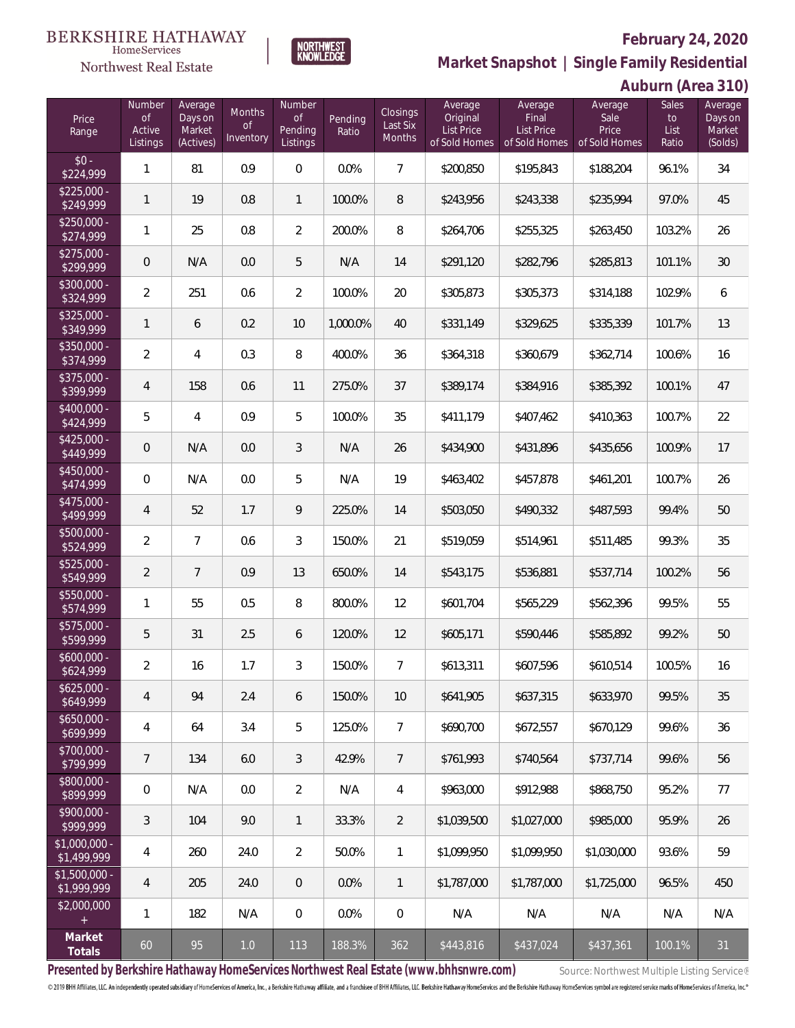**Auburn (Area 310)**



**Market Snapshot | Single Family Residential**

## $\label{lem:sevices} \textsc{Home} \textsc{Service} \textsc{s}$ Northwest Real Estate

**BERKSHIRE HATHAWAY** 

| Price<br>Range                | Number<br><b>of</b><br>Active<br>Listings | Average<br>Days on<br>Market<br>(Actives) | Months<br><b>of</b><br>Inventory | Number<br>of<br>Pending<br>Listings | Pending<br>Ratio | Closings<br>Last Six<br>Months | Average<br>Original<br>List Price<br>of Sold Homes | Average<br>Final<br>List Price<br>of Sold Homes | Average<br>Sale<br>Price<br>of Sold Homes | <b>Sales</b><br>to<br>List<br>Ratio | Average<br>Days on<br>Market<br>(Solds) |
|-------------------------------|-------------------------------------------|-------------------------------------------|----------------------------------|-------------------------------------|------------------|--------------------------------|----------------------------------------------------|-------------------------------------------------|-------------------------------------------|-------------------------------------|-----------------------------------------|
| $$0 -$<br>\$224,999           | 1                                         | 81                                        | 0.9                              | $\mathbf 0$                         | 0.0%             | $\overline{7}$                 | \$200,850                                          | \$195,843                                       | \$188,204                                 | 96.1%                               | 34                                      |
| $$225,000 -$<br>\$249,999     | $\mathbf{1}$                              | 19                                        | 0.8                              | $\mathbf{1}$                        | 100.0%           | 8                              | \$243,956                                          | \$243,338                                       | \$235,994                                 | 97.0%                               | 45                                      |
| $$250,000 -$<br>\$274,999     | $\mathbf{1}$                              | 25                                        | 0.8                              | 2                                   | 200.0%           | 8                              | \$264,706                                          | \$255,325                                       | \$263,450                                 | 103.2%                              | 26                                      |
| $$275,000 -$<br>\$299,999     | $\overline{0}$                            | N/A                                       | 0.0                              | 5                                   | N/A              | 14                             | \$291,120                                          | \$282,796                                       | \$285,813                                 | 101.1%                              | 30                                      |
| $$300,000 -$<br>\$324,999     | $\overline{2}$                            | 251                                       | 0.6                              | $\overline{2}$                      | 100.0%           | 20                             | \$305,873                                          | \$305,373                                       | \$314,188                                 | 102.9%                              | 6                                       |
| $$325,000 -$<br>\$349,999     | $\mathbf{1}$                              | 6                                         | 0.2                              | 10                                  | 1,000.0%         | 40                             | \$331,149                                          | \$329,625                                       | \$335,339                                 | 101.7%                              | 13                                      |
| $$350,000 -$<br>\$374,999     | $\overline{2}$                            | 4                                         | 0.3                              | 8                                   | 400.0%           | 36                             | \$364,318                                          | \$360,679                                       | \$362,714                                 | 100.6%                              | 16                                      |
| \$375,000 -<br>\$399,999      | $\overline{4}$                            | 158                                       | 0.6                              | 11                                  | 275.0%           | 37                             | \$389,174                                          | \$384,916                                       | \$385,392                                 | 100.1%                              | 47                                      |
| \$400,000 -<br>\$424,999      | 5                                         | $\overline{4}$                            | 0.9                              | 5                                   | 100.0%           | 35                             | \$411,179                                          | \$407,462                                       | \$410,363                                 | 100.7%                              | 22                                      |
| $$425,000 -$<br>\$449,999     | $\overline{0}$                            | N/A                                       | 0.0                              | 3                                   | N/A              | 26                             | \$434,900                                          | \$431,896                                       | \$435,656                                 | 100.9%                              | 17                                      |
| \$450,000 -<br>\$474,999      | $\overline{0}$                            | N/A                                       | 0.0                              | 5                                   | N/A              | 19                             | \$463,402                                          | \$457,878                                       | \$461,201                                 | 100.7%                              | 26                                      |
| $$475,000 -$<br>\$499,999     | 4                                         | 52                                        | 1.7                              | 9                                   | 225.0%           | 14                             | \$503,050                                          | \$490,332                                       | \$487,593                                 | 99.4%                               | 50                                      |
| $$500,000 -$<br>\$524,999     | $\overline{a}$                            | $7\overline{ }$                           | 0.6                              | $\mathfrak{Z}$                      | 150.0%           | 21                             | \$519,059                                          | \$514,961                                       | \$511,485                                 | 99.3%                               | 35                                      |
| \$525,000 -<br>\$549,999      | $\overline{2}$                            | $\overline{7}$                            | 0.9                              | 13                                  | 650.0%           | 14                             | \$543,175                                          | \$536,881                                       | \$537,714                                 | 100.2%                              | 56                                      |
| \$550,000 -<br>\$574,999      | $\mathbf{1}$                              | 55                                        | 0.5                              | 8                                   | 800.0%           | 12                             | \$601,704                                          | \$565,229                                       | \$562,396                                 | 99.5%                               | 55                                      |
| \$575,000 -<br>\$599,999      | 5                                         | 31                                        | 2.5                              | 6                                   | 120.0%           | 12                             | \$605,171                                          | \$590,446                                       | \$585,892                                 | 99.2%                               | 50                                      |
| $$600,000 -$<br>\$624,999     | $\overline{a}$                            | 16                                        | 1.7                              | 3                                   | 150.0%           | $\overline{7}$                 | \$613,311                                          | \$607,596                                       | \$610,514                                 | 100.5%                              | 16                                      |
| $$625,000 -$<br>\$649,999     | 4                                         | 94                                        | 2.4                              | 6                                   | 150.0%           | 10                             | \$641,905                                          | \$637,315                                       | \$633,970                                 | 99.5%                               | 35                                      |
| $$650,000 -$<br>\$699,999     | 4                                         | 64                                        | 3.4                              | 5                                   | 125.0%           | $\overline{7}$                 | \$690,700                                          | \$672,557                                       | \$670,129                                 | 99.6%                               | 36                                      |
| \$700,000 -<br>\$799,999      | 7                                         | 134                                       | 6.0                              | 3                                   | 42.9%            | $\overline{7}$                 | \$761,993                                          | \$740,564                                       | \$737,714                                 | 99.6%                               | 56                                      |
| \$800,000 -<br>\$899,999      | $\mathbf 0$                               | N/A                                       | 0.0                              | $\overline{2}$                      | N/A              | $\overline{4}$                 | \$963,000                                          | \$912,988                                       | \$868,750                                 | 95.2%                               | 77                                      |
| \$900,000 -<br>\$999,999      | 3                                         | 104                                       | 9.0                              | 1                                   | 33.3%            | $\overline{2}$                 | \$1,039,500                                        | \$1,027,000                                     | \$985,000                                 | 95.9%                               | 26                                      |
| $$1,000,000 -$<br>\$1,499,999 | 4                                         | 260                                       | 24.0                             | $\overline{2}$                      | 50.0%            | $\mathbf{1}$                   | \$1,099,950                                        | \$1,099,950                                     | \$1,030,000                               | 93.6%                               | 59                                      |
| $$1,500,000 -$<br>\$1,999,999 | $\overline{4}$                            | 205                                       | 24.0                             | $\mathbf 0$                         | 0.0%             | $\mathbf{1}$                   | \$1,787,000                                        | \$1,787,000                                     | \$1,725,000                               | 96.5%                               | 450                                     |
| \$2,000,000<br>$+$            | 1                                         | 182                                       | N/A                              | $\mathbf 0$                         | 0.0%             | $\boldsymbol{0}$               | N/A                                                | N/A                                             | N/A                                       | N/A                                 | N/A                                     |
| Market<br>Totals              | 60                                        | 95                                        | $1.0$                            | 113                                 | 188.3%           | 362                            | \$443,816                                          | \$437,024                                       | \$437,361                                 | 100.1%                              | 31                                      |

Presented by Berkshire Hathaway HomeServices Northwest Real Estate (www.bhhsnwre.com) Source: Northwest Multiple Listing Service®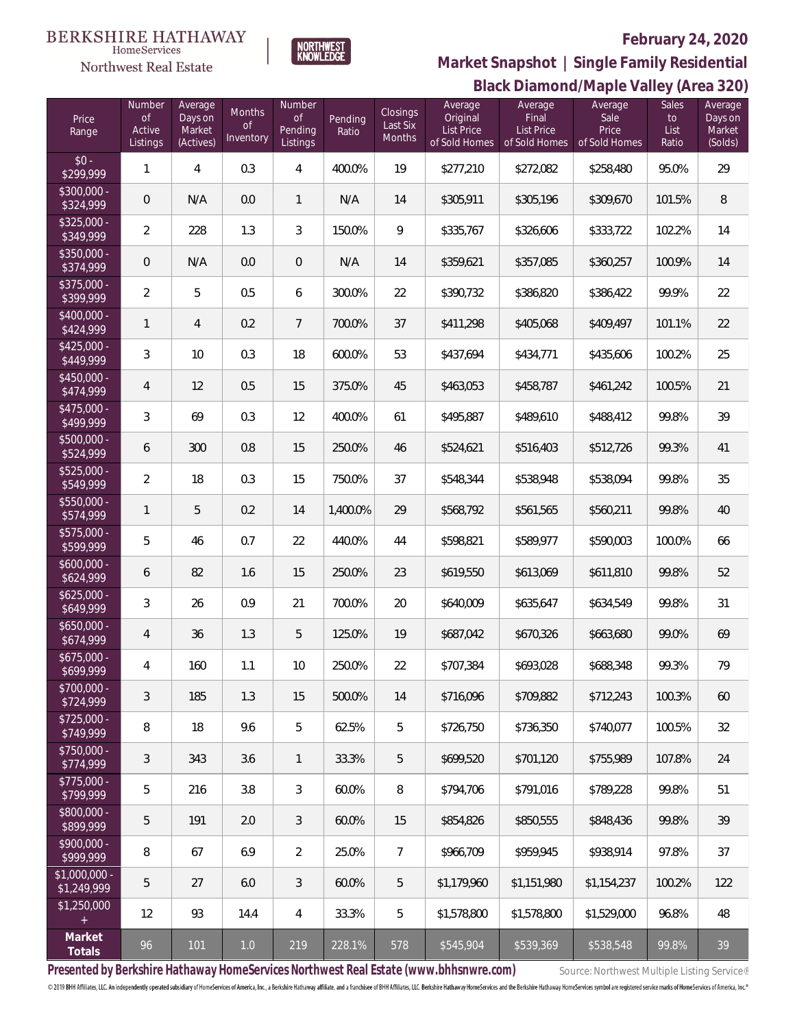### **BERKSHIRE HATHAWAY**  $\label{lem:sevices} \textsc{Home} \textsc{Service} \textsc{s}$

Northwest Real Estate



# **February 24, 2020**

**Black Diamond/Maple Valley (Area 320) Market Snapshot | Single Family Residential**

| Price<br>Range                | Number<br><b>of</b><br>Active<br>Listings | Average<br>Days on<br>Market<br>(Actives) | Months<br>$\mathsf{of}$<br>Inventory | Number<br><b>of</b><br>Pending<br>Listings | Pending<br>Ratio | Closings<br>Last Six<br>Months | Average<br>Original<br><b>List Price</b><br>of Sold Homes | Average<br>Final<br><b>List Price</b><br>of Sold Homes | Average<br>Sale<br>Price<br>of Sold Homes | Sales<br>to<br>List<br>Ratio | Average<br>Days on<br>Market<br>(Solds) |
|-------------------------------|-------------------------------------------|-------------------------------------------|--------------------------------------|--------------------------------------------|------------------|--------------------------------|-----------------------------------------------------------|--------------------------------------------------------|-------------------------------------------|------------------------------|-----------------------------------------|
| $$0 -$<br>\$299,999           | 1                                         | 4                                         | 0.3                                  | 4                                          | 400.0%           | 19                             | \$277,210                                                 | \$272,082                                              | \$258,480                                 | 95.0%                        | 29                                      |
| $$300,000 -$<br>\$324,999     | $\theta$                                  | N/A                                       | 0.0                                  | $\mathbf{1}$                               | N/A              | 14                             | \$305,911                                                 | \$305,196                                              | \$309,670                                 | 101.5%                       | $8\,$                                   |
| $$325,000 -$<br>\$349,999     | 2                                         | 228                                       | 1.3                                  | 3                                          | 150.0%           | 9                              | \$335,767                                                 | \$326,606                                              | \$333,722                                 | 102.2%                       | 14                                      |
| $$350,000 -$<br>\$374,999     | $\theta$                                  | N/A                                       | 0.0                                  | $\overline{0}$                             | N/A              | 14                             | \$359,621                                                 | \$357,085                                              | \$360,257                                 | 100.9%                       | 14                                      |
| $$375,000 -$<br>\$399,999     | $\overline{2}$                            | 5                                         | 0.5                                  | 6                                          | 300.0%           | 22                             | \$390,732                                                 | \$386,820                                              | \$386,422                                 | 99.9%                        | 22                                      |
| $$400,000 -$<br>\$424,999     | 1                                         | 4                                         | 0.2                                  | $\overline{7}$                             | 700.0%           | 37                             | \$411,298                                                 | \$405,068                                              | \$409,497                                 | 101.1%                       | 22                                      |
| $$425,000 -$<br>\$449,999     | 3                                         | 10                                        | 0.3                                  | 18                                         | 600.0%           | 53                             | \$437,694                                                 | \$434,771                                              | \$435,606                                 | 100.2%                       | 25                                      |
| $$450,000 -$<br>\$474,999     | 4                                         | 12                                        | 0.5                                  | 15                                         | 375.0%           | 45                             | \$463,053                                                 | \$458,787                                              | \$461,242                                 | 100.5%                       | 21                                      |
| $$475,000 -$<br>\$499,999     | 3                                         | 69                                        | 0.3                                  | 12                                         | 400.0%           | 61                             | \$495,887                                                 | \$489,610                                              | \$488,412                                 | 99.8%                        | 39                                      |
| $$500,000 -$<br>\$524,999     | 6                                         | 300                                       | 0.8                                  | 15                                         | 250.0%           | 46                             | \$524,621                                                 | \$516,403                                              | \$512,726                                 | 99.3%                        | 41                                      |
| $$525,000 -$<br>\$549,999     | $\overline{2}$                            | 18                                        | 0.3                                  | 15                                         | 750.0%           | 37                             | \$548,344                                                 | \$538,948                                              | \$538,094                                 | 99.8%                        | 35                                      |
| $$550,000 -$<br>\$574,999     | 1                                         | 5                                         | 0.2                                  | 14                                         | 1,400.0%         | 29                             | \$568,792                                                 | \$561,565                                              | \$560,211                                 | 99.8%                        | 40                                      |
| $$575,000 -$<br>\$599,999     | 5                                         | 46                                        | 0.7                                  | 22                                         | 440.0%           | 44                             | \$598,821                                                 | \$589,977                                              | \$590,003                                 | 100.0%                       | 66                                      |
| $$600,000 -$<br>\$624,999     | 6                                         | 82                                        | 1.6                                  | 15                                         | 250.0%           | 23                             | \$619,550                                                 | \$613,069                                              | \$611,810                                 | 99.8%                        | 52                                      |
| $$625,000 -$<br>\$649,999     | 3                                         | 26                                        | 0.9                                  | 21                                         | 700.0%           | 20                             | \$640,009                                                 | \$635,647                                              | \$634,549                                 | 99.8%                        | 31                                      |
| $$650,000 -$<br>\$674,999     | 4                                         | 36                                        | 1.3                                  | 5                                          | 125.0%           | 19                             | \$687,042                                                 | \$670,326                                              | \$663,680                                 | 99.0%                        | 69                                      |
| $$675,000 -$<br>\$699,999     | 4                                         | 160                                       | 1.1                                  | 10                                         | 250.0%           | 22                             | \$707,384                                                 | \$693,028                                              | \$688,348                                 | 99.3%                        | 79                                      |
| $$700,000 -$<br>\$724,999     | 3                                         | 185                                       | 1.3                                  | 15                                         | 500.0%           | 14                             | \$716,096                                                 | \$709.882                                              | \$712.243                                 | 100.3%                       | 60                                      |
| $$725,000 -$<br>\$749,999     | 8                                         | 18                                        | 9.6                                  | 5                                          | 62.5%            | 5                              | \$726,750                                                 | \$736,350                                              | \$740,077                                 | 100.5%                       | 32                                      |
| $$750,000 -$<br>\$774,999     | 3                                         | 343                                       | 3.6                                  | $\mathbf{1}$                               | 33.3%            | 5                              | \$699.520                                                 | \$701.120                                              | \$755,989                                 | 107.8%                       | 24                                      |
| $$775,000 -$<br>\$799,999     | 5                                         | 216                                       | 3.8                                  | 3                                          | 60.0%            | 8                              | \$794.706                                                 | \$791,016                                              | \$789,228                                 | 99.8%                        | 51                                      |
| \$800,000 -<br>\$899,999      | 5                                         | 191                                       | 2.0                                  | 3                                          | 60.0%            | 15                             | \$854,826                                                 | \$850.555                                              | \$848,436                                 | 99.8%                        | 39                                      |
| $$900,000 -$<br>\$999,999     | 8                                         | 67                                        | 6.9                                  | $\overline{2}$                             | 25.0%            | $\overline{7}$                 | \$966,709                                                 | \$959,945                                              | \$938,914                                 | 97.8%                        | 37                                      |
| $$1,000,000 -$<br>\$1,249,999 | 5                                         | 27                                        | 6.0                                  | 3                                          | 60.0%            | 5                              | \$1,179,960                                               | \$1,151,980                                            | \$1,154,237                               | 100.2%                       | 122                                     |
| \$1,250,000<br>$^{+}$         | 12                                        | 93                                        | 14.4                                 | $\overline{4}$                             | 33.3%            | 5                              | \$1,578,800                                               | \$1,578,800                                            | \$1,529,000                               | 96.8%                        | 48                                      |
| Market<br>Totals              | 96                                        | 101                                       | $1.0$                                | 219                                        | 228.1%           | 578                            | \$545,904                                                 | \$539,369                                              | \$538,548                                 | 99.8%                        | 39                                      |

Presented by Berkshire Hathaway HomeServices Northwest Real Estate (www.bhhsnwre.com) Source: Northwest Multiple Listing Service®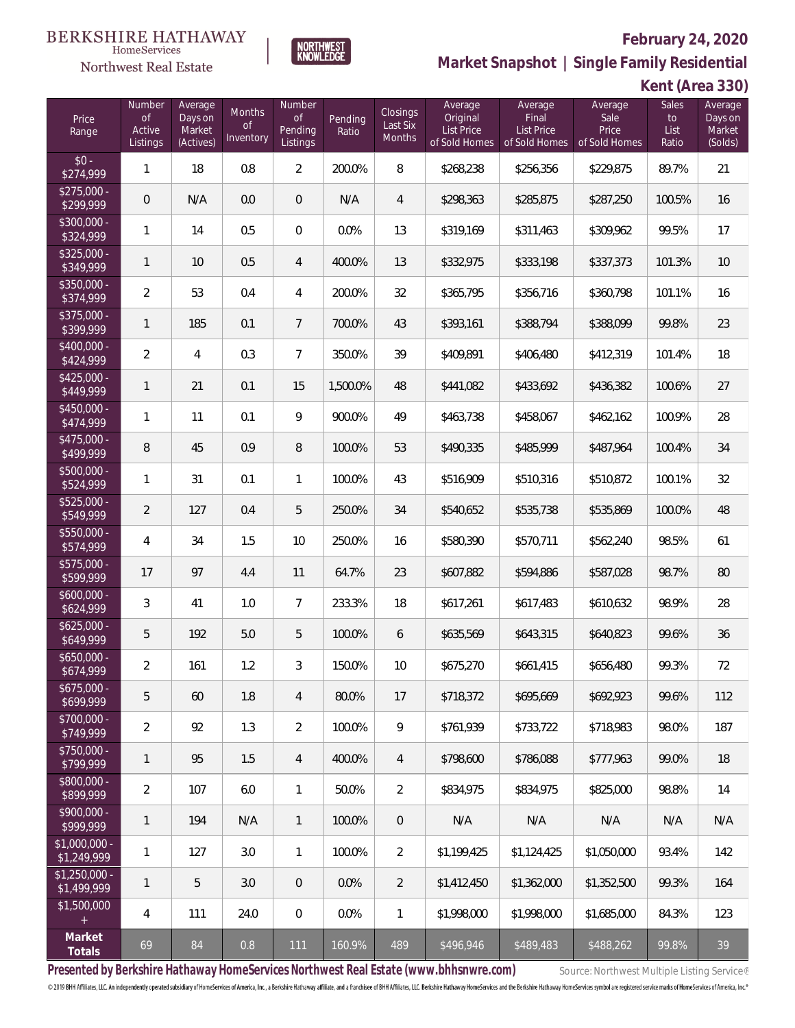### **BERKSHIRE HATHAWAY**  $\label{lem:sevices} \textsc{Home} \textsc{Service} \textsc{s}$

# Northwest Real Estate



# **February 24, 2020**

**Market Snapshot | Single Family Residential**

| Kent (Area 330) |  |  |
|-----------------|--|--|
|-----------------|--|--|

| Price<br>Range                | Number<br><b>of</b><br>Active<br>Listings | Average<br>Days on<br>Market<br>(Actives) | <b>Months</b><br><b>of</b><br>Inventory | Number<br>of<br>Pending<br>Listings | Pending<br>Ratio | Closings<br>Last Six<br>Months | Average<br>Original<br>List Price<br>of Sold Homes | Average<br>Final<br><b>List Price</b><br>of Sold Homes | Average<br>Sale<br>Price<br>of Sold Homes | Sales<br>to<br>List<br>Ratio | Average<br>Days on<br>Market<br>(Solds) |
|-------------------------------|-------------------------------------------|-------------------------------------------|-----------------------------------------|-------------------------------------|------------------|--------------------------------|----------------------------------------------------|--------------------------------------------------------|-------------------------------------------|------------------------------|-----------------------------------------|
| $$0 -$<br>\$274,999           | $\mathbf{1}$                              | 18                                        | 0.8                                     | $\overline{2}$                      | 200.0%           | 8                              | \$268,238                                          | \$256,356                                              | \$229,875                                 | 89.7%                        | 21                                      |
| $$275,000 -$<br>\$299,999     | $\mathbf 0$                               | N/A                                       | 0.0                                     | $\overline{0}$                      | N/A              | $\overline{4}$                 | \$298,363                                          | \$285,875                                              | \$287,250                                 | 100.5%                       | 16                                      |
| $$300,000 -$<br>\$324,999     | $\mathbf{1}$                              | 14                                        | 0.5                                     | $\overline{0}$                      | 0.0%             | 13                             | \$319,169                                          | \$311,463                                              | \$309,962                                 | 99.5%                        | 17                                      |
| \$325,000 -<br>\$349,999      | $\mathbf{1}$                              | 10                                        | 0.5                                     | $\overline{4}$                      | 400.0%           | 13                             | \$332,975                                          | \$333,198                                              | \$337,373                                 | 101.3%                       | 10                                      |
| $$350,000 -$<br>\$374,999     | $\overline{2}$                            | 53                                        | 0.4                                     | $\overline{4}$                      | 200.0%           | 32                             | \$365,795                                          | \$356,716                                              | \$360,798                                 | 101.1%                       | 16                                      |
| $$375,000 -$<br>\$399,999     | $\mathbf{1}$                              | 185                                       | 0.1                                     | $7\overline{ }$                     | 700.0%           | 43                             | \$393,161                                          | \$388,794                                              | \$388,099                                 | 99.8%                        | 23                                      |
| $$400,000 -$<br>\$424,999     | $\overline{2}$                            | 4                                         | 0.3                                     | $\overline{7}$                      | 350.0%           | 39                             | \$409,891                                          | \$406,480                                              | \$412,319                                 | 101.4%                       | 18                                      |
| $$425,000 -$<br>\$449,999     | $\mathbf{1}$                              | 21                                        | 0.1                                     | 15                                  | 1,500.0%         | 48                             | \$441,082                                          | \$433,692                                              | \$436,382                                 | 100.6%                       | 27                                      |
| $$450,000 -$<br>\$474,999     | $\mathbf{1}$                              | 11                                        | 0.1                                     | 9                                   | 900.0%           | 49                             | \$463,738                                          | \$458,067                                              | \$462,162                                 | 100.9%                       | 28                                      |
| $$475,000 -$<br>\$499,999     | 8                                         | 45                                        | 0.9                                     | 8                                   | 100.0%           | 53                             | \$490,335                                          | \$485,999                                              | \$487,964                                 | 100.4%                       | 34                                      |
| $$500,000 -$<br>\$524,999     | $\mathbf{1}$                              | 31                                        | 0.1                                     | $\mathbf{1}$                        | 100.0%           | 43                             | \$516,909                                          | \$510,316                                              | \$510,872                                 | 100.1%                       | 32                                      |
| \$525,000 -<br>\$549,999      | $\overline{2}$                            | 127                                       | 0.4                                     | 5                                   | 250.0%           | 34                             | \$540,652                                          | \$535,738                                              | \$535,869                                 | 100.0%                       | 48                                      |
| $$550,000 -$<br>\$574,999     | $\overline{4}$                            | 34                                        | 1.5                                     | 10                                  | 250.0%           | 16                             | \$580,390                                          | \$570,711                                              | \$562,240                                 | 98.5%                        | 61                                      |
| $$575,000 -$<br>\$599,999     | 17                                        | 97                                        | 4.4                                     | 11                                  | 64.7%            | 23                             | \$607,882                                          | \$594,886                                              | \$587,028                                 | 98.7%                        | 80                                      |
| $$600,000 -$<br>\$624,999     | $\mathfrak{Z}$                            | 41                                        | 1.0                                     | $\overline{7}$                      | 233.3%           | 18                             | \$617,261                                          | \$617,483                                              | \$610,632                                 | 98.9%                        | 28                                      |
| $$625,000 -$<br>\$649,999     | 5                                         | 192                                       | 5.0                                     | 5                                   | 100.0%           | 6                              | \$635,569                                          | \$643,315                                              | \$640,823                                 | 99.6%                        | 36                                      |
| $$650,000 -$<br>\$674,999     | $\overline{2}$                            | 161                                       | 1.2                                     | $\mathfrak{Z}$                      | 150.0%           | 10                             | \$675,270                                          | \$661,415                                              | \$656,480                                 | 99.3%                        | 72                                      |
| $$675,000 -$<br>\$699,999     | 5                                         | 60                                        | 1.8                                     | $\overline{4}$                      | 80.0%            | 17                             | \$718,372                                          | \$695,669                                              | \$692,923                                 | 99.6%                        | 112                                     |
| \$700,000 -<br>\$749,999      | $\overline{2}$                            | 92                                        | 1.3                                     | $\overline{2}$                      | 100.0%           | 9                              | \$761,939                                          | \$733,722                                              | \$718,983                                 | 98.0%                        | 187                                     |
| $$750,000 -$<br>\$799,999     | $\mathbf{1}$                              | 95                                        | 1.5                                     | $\overline{4}$                      | 400.0%           | $\overline{4}$                 | \$798,600                                          | \$786,088                                              | \$777,963                                 | 99.0%                        | 18                                      |
| $$800,000 -$<br>\$899,999     | $\overline{2}$                            | 107                                       | 6.0                                     | $\mathbf{1}$                        | 50.0%            | $\overline{2}$                 | \$834,975                                          | \$834,975                                              | \$825,000                                 | 98.8%                        | 14                                      |
| $$900,000 -$<br>\$999,999     | $\mathbf{1}$                              | 194                                       | N/A                                     | $\mathbf{1}$                        | 100.0%           | $\mathbf 0$                    | N/A                                                | N/A                                                    | N/A                                       | N/A                          | N/A                                     |
| $$1,000,000 -$<br>\$1,249,999 | $\mathbf{1}$                              | 127                                       | 3.0                                     | $\mathbf{1}$                        | 100.0%           | $\overline{2}$                 | \$1,199,425                                        | \$1,124,425                                            | \$1,050,000                               | 93.4%                        | 142                                     |
| $$1,250,000 -$<br>\$1,499,999 | $\mathbf{1}$                              | 5                                         | 3.0                                     | $\theta$                            | 0.0%             | $\overline{2}$                 | \$1,412,450                                        | \$1,362,000                                            | \$1,352,500                               | 99.3%                        | 164                                     |
| \$1,500,000<br>$\pm$          | $\overline{4}$                            | 111                                       | 24.0                                    | $\overline{0}$                      | 0.0%             | 1                              | \$1,998,000                                        | \$1,998,000                                            | \$1,685,000                               | 84.3%                        | 123                                     |
| Market<br>Totals              | 69                                        | 84                                        | 0.8                                     | 111                                 | 160.9%           | 489                            | \$496,946                                          | \$489,483                                              | \$488,262                                 | 99.8%                        | 39                                      |

Presented by Berkshire Hathaway HomeServices Northwest Real Estate (www.bhhsnwre.com) Source: Northwest Multiple Listing Service®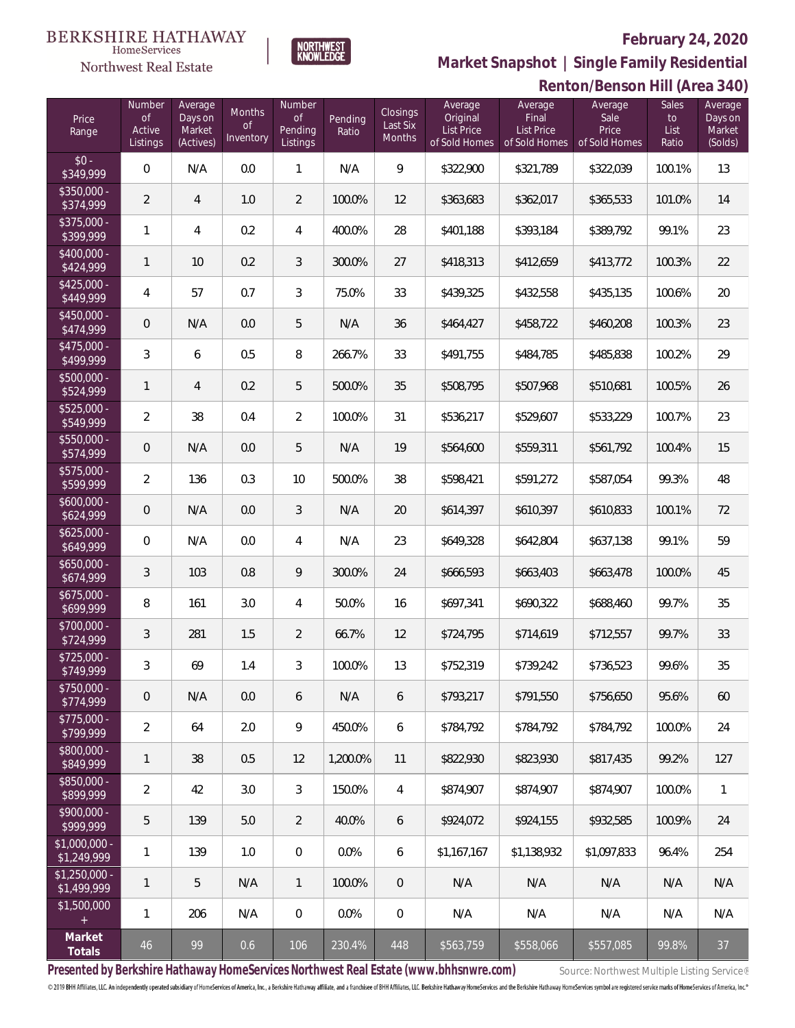Sales List Ratio Average Days on Market (Solds)

**Renton/Benson Hill (Area 340)**



**BERKSHIRE HATHAWAY** 

# **Market Snapshot | Single Family Residential**

Average Sale Price of Sold Homes

Average Final List Price of Sold Homes

### HomeServices Northwest Real Estate Number Average Number Average Months Closings Days on **Original** Price of Pending Last Six Pending Active Market List Price Range Ratio Inventory Months Listings (Actives) of Sold Homes Listings  $$0 - $349.999$ \$349,999 0 N/A 0.0 1 N/A 9 \$322,900 \$321,789 \$322,039 100.1% 13  $$350,000$ \$375,000 - \$400,000 - \$425,000 - \$450,000 - \$475,000 - \$500,000 - \$525,000 - \$550,000 - \$575,000 -

| \$374,999                     | 2              | 4              | 1.0 | $\overline{2}$ | 100.0%   | 12  | \$363,683                                                                             | \$362,017   | \$365,533                                   | 101.0% | 14  |
|-------------------------------|----------------|----------------|-----|----------------|----------|-----|---------------------------------------------------------------------------------------|-------------|---------------------------------------------|--------|-----|
| $$375,000 -$<br>\$399,999     | 1              | $\overline{4}$ | 0.2 | 4              | 400.0%   | 28  | \$401,188                                                                             | \$393,184   | \$389,792                                   | 99.1%  | 23  |
| $$400,000 -$<br>\$424,999     | 1              | 10             | 0.2 | 3              | 300.0%   | 27  | \$418,313                                                                             | \$412,659   | \$413,772                                   | 100.3% | 22  |
| $$425,000 -$<br>\$449,999     | 4              | 57             | 0.7 | 3              | 75.0%    | 33  | \$439,325                                                                             | \$432,558   | \$435,135                                   | 100.6% | 20  |
| $$450,000 -$<br>\$474,999     | 0              | N/A            | 0.0 | 5              | N/A      | 36  | \$464,427                                                                             | \$458,722   | \$460,208                                   | 100.3% | 23  |
| $$475,000 -$<br>\$499,999     | 3              | 6              | 0.5 | 8              | 266.7%   | 33  | \$491,755                                                                             | \$484,785   | \$485,838                                   | 100.2% | 29  |
| $$500,000 -$<br>\$524,999     | 1              | $\overline{4}$ | 0.2 | 5              | 500.0%   | 35  | \$508,795                                                                             | \$507,968   | \$510,681                                   | 100.5% | 26  |
| $$525,000 -$<br>\$549,999     | $\overline{2}$ | 38             | 0.4 | 2              | 100.0%   | 31  | \$536,217                                                                             | \$529,607   | \$533,229                                   | 100.7% | 23  |
| $$550,000 -$<br>\$574,999     | 0              | N/A            | 0.0 | 5              | N/A      | 19  | \$564,600                                                                             | \$559,311   | \$561,792                                   | 100.4% | 15  |
| \$575,000 -<br>\$599,999      | $\overline{2}$ | 136            | 0.3 | 10             | 500.0%   | 38  | \$598,421                                                                             | \$591,272   | \$587,054                                   | 99.3%  | 48  |
| $$600,000 -$<br>\$624,999     | 0              | N/A            | 0.0 | 3              | N/A      | 20  | \$614,397                                                                             | \$610,397   | \$610,833                                   | 100.1% | 72  |
| $$625,000 -$<br>\$649,999     | $\overline{0}$ | N/A            | 0.0 | 4              | N/A      | 23  | \$649,328                                                                             | \$642,804   | \$637,138                                   | 99.1%  | 59  |
| $$650,000 -$<br>\$674,999     | 3              | 103            | 0.8 | 9              | 300.0%   | 24  | \$666,593                                                                             | \$663,403   | \$663,478                                   | 100.0% | 45  |
| $$675,000 -$<br>\$699,999     | 8              | 161            | 3.0 | 4              | 50.0%    | 16  | \$697,341                                                                             | \$690,322   | \$688,460                                   | 99.7%  | 35  |
| \$700,000 -<br>\$724,999      | 3              | 281            | 1.5 | 2              | 66.7%    | 12  | \$724,795                                                                             | \$714,619   | \$712,557                                   | 99.7%  | 33  |
| $$725,000 -$<br>\$749,999     | 3              | 69             | 1.4 | 3              | 100.0%   | 13  | \$752,319                                                                             | \$739,242   | \$736,523                                   | 99.6%  | 35  |
| \$750,000 -<br>\$774,999      | 0              | N/A            | 0.0 | 6              | N/A      | 6   | \$793,217                                                                             | \$791,550   | \$756,650                                   | 95.6%  | 60  |
| $$775,000 -$<br>\$799,999     | $\overline{2}$ | 64             | 2.0 | 9              | 450.0%   | 6   | \$784,792                                                                             | \$784,792   | \$784,792                                   | 100.0% | 24  |
| \$800,000 -<br>\$849,999      | 1              | 38             | 0.5 | 12             | 1,200.0% | 11  | \$822,930                                                                             | \$823,930   | \$817,435                                   | 99.2%  | 127 |
| $$850,000 -$<br>\$899,999     | $\overline{2}$ | 42             | 3.0 | 3              | 150.0%   | 4   | \$874,907                                                                             | \$874,907   | \$874,907                                   | 100.0% | 1   |
| \$900,000 -<br>\$999,999      | 5              | 139            | 5.0 | $\overline{2}$ | 40.0%    | 6   | \$924,072                                                                             | \$924,155   | \$932,585                                   | 100.9% | 24  |
| $$1,000,000 -$<br>\$1,249,999 | 1              | 139            | 1.0 | $\mathbf 0$    | 0.0%     | 6   | \$1,167,167                                                                           | \$1,138,932 | \$1,097,833                                 | 96.4%  | 254 |
| $$1,250,000 -$<br>\$1,499,999 | 1              | 5              | N/A | 1              | 100.0%   | 0   | N/A                                                                                   | N/A         | N/A                                         | N/A    | N/A |
| \$1,500,000                   | 1              | 206            | N/A | $\,0\,$        | 0.0%     | 0   | N/A                                                                                   | N/A         | N/A                                         | N/A    | N/A |
| Market<br>Totals              | 46             | 99             | 0.6 | 106            | 230.4%   | 448 | \$563,759                                                                             | \$558,066   | \$557,085                                   | 99.8%  | 37  |
|                               |                |                |     |                |          |     | Presented by Berkshire Hathaway HomeServices Northwest Real Estate (www.bhhsnwre.com) |             | Source: Northwest Multiple Listing Service® |        |     |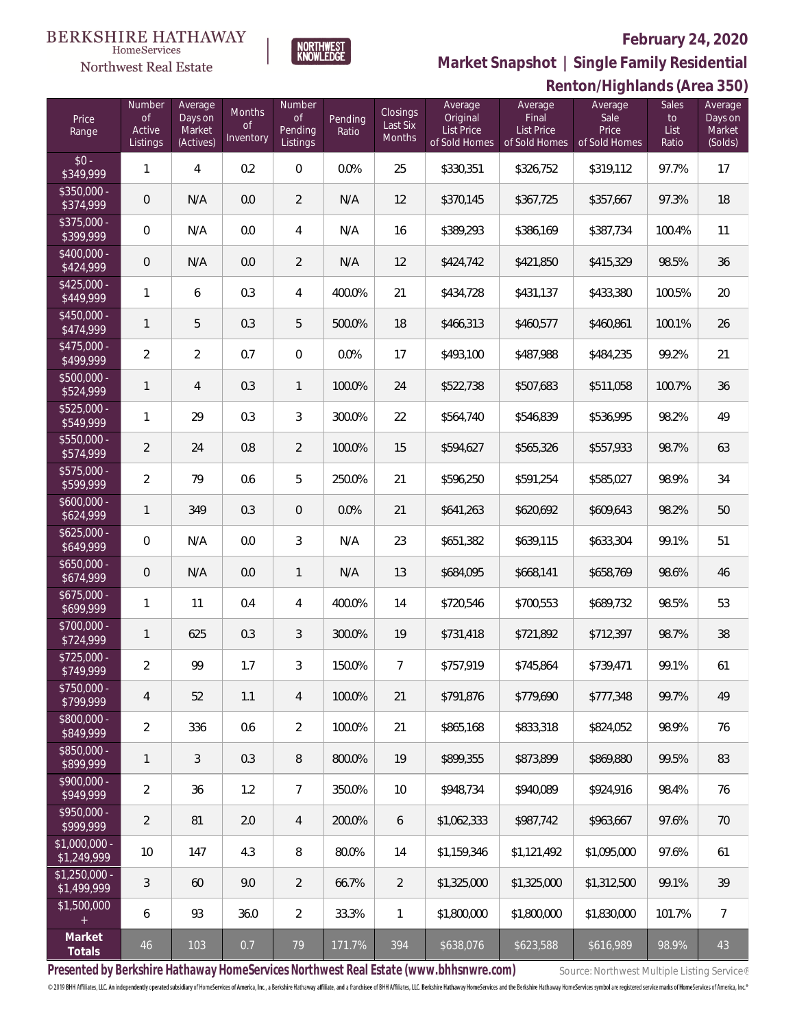

**BERKSHIRE HATHAWAY** 

**HomeServices** 

**Market Snapshot | Single Family Residential**

### **Northwest Real Estate Renton/Highlands (Area 350)** Number Average Average Sales Average Average **Number** Average Months Closings Final Sale Price of Days on of Pending Original to Days on of Last Six Pending List Price Price Active Market List Price List Market Range Ratio **Inventory** Months Listings (Actives) Listings of Sold Homes of Sold Homes of Sold Homes Ratio (Solds)  $$0 - $99$  $\frac{1}{3349,999}$  1 4 0.2 0 0.0% 25 \$330,351 \$326,752 \$319,112 97.7% 17 \$350,000<br>\$374,999 \$374,999 0 N/A 0.0 2 N/A 12 \$370,145 \$367,725 \$357,667 97.3% 18 \$375,000<br>\$399,999 \$399,999 <sup>0</sup> N/A 0.0 <sup>4</sup> N/A <sup>16</sup> \$389,293 \$386,169 \$387,734 100.4% <sup>11</sup> \$400,000 \$424,999 0 N/A 0.0 2 N/A 12 \$424,742 \$421,850 \$415,329 98.5% 36 \$425,000<br>\$449.999 \$449,999 <sup>1</sup> <sup>6</sup> 0.3 <sup>4</sup> 400.0% <sup>21</sup> \$434,728 \$431,137 \$433,380 100.5% <sup>20</sup> \$450,000  $\texttt{3474,999}$  1 5 0.3 5 500.0% 18 \$466,313 \$460,577 \$460,861 100.1% 26 \$475,000<br>\$499,999 \$499,999 <sup>2</sup> <sup>2</sup> 0.7 <sup>0</sup> 0.0% <sup>17</sup> \$493,100 \$487,988 \$484,235 99.2% <sup>21</sup> \$500,000<br>\$524,999 \$524,999 <sup>1</sup> <sup>4</sup> 0.3 <sup>1</sup> 100.0% <sup>24</sup> \$522,738 \$507,683 \$511,058 100.7% <sup>36</sup> \$525,000<br>\$549,999 \$549,999 <sup>1</sup> <sup>29</sup> 0.3 <sup>3</sup> 300.0% <sup>22</sup> \$564,740 \$546,839 \$536,995 98.2% <sup>49</sup> \$550,000<br>\$574,999 \$574,999 2 24 0.8 2 100.0% 15 \$594,627 \$565,326 \$557,933 98.7% 63 \$575,000<br>\$599,999 \$599,999 <sup>2</sup> <sup>79</sup> 0.6 <sup>5</sup> 250.0% <sup>21</sup> \$596,250 \$591,254 \$585,027 98.9% <sup>34</sup> \$600,000<br>\$624,999 \$624,999 <sup>1</sup> <sup>349</sup> 0.3 <sup>0</sup> 0.0% <sup>21</sup> \$641,263 \$620,692 \$609,643 98.2% <sup>50</sup> \$625,000 \$649,999 0 N/A 0.0 3 N/A 23 \$651,382 \$639,115 \$633,304 99.1% 51 \$650,000 \$674,999 <sup>0</sup> N/A 0.0 <sup>1</sup> N/A <sup>13</sup> \$684,095 \$668,141 \$658,769 98.6% <sup>46</sup> \$675,000 \$699,999 <sup>1</sup> <sup>11</sup> 0.4 <sup>4</sup> 400.0% <sup>14</sup> \$720,546 \$700,553 \$689,732 98.5% <sup>53</sup> \$700,000 \$724,999 <sup>1</sup> <sup>625</sup> 0.3 <sup>3</sup> 300.0% <sup>19</sup> \$731,418 \$721,892 \$712,397 98.7% <sup>38</sup> \$725,000 \$749,999 <sup>2</sup> <sup>99</sup> 1.7 <sup>3</sup> 150.0% <sup>7</sup> \$757,919 \$745,864 \$739,471 99.1% <sup>61</sup> \$750,000<br>\$799,999 \$799,999 <sup>4</sup> <sup>52</sup> 1.1 <sup>4</sup> 100.0% <sup>21</sup> \$791,876 \$779,690 \$777,348 99.7% <sup>49</sup> \$800,000<br>\$849,999 \$849,999 2 336 0.6 2 100.0% 21 \$865,168 \$833,318 \$824,052 98.9% 76 \$850,000

**Totals** <sup>46</sup> <sup>103</sup> 0.7 <sup>79</sup> 171.7% <sup>394</sup> \$638,076 \$623,588 \$616,989 98.9% <sup>43</sup> **Presented by Berkshire Hathaway HomeServices Northwest Real Estate (www.bhhsnwre.com)** Source: Northwest Multiple Listing Service®

\$900,000 -

\$950,000<br>\$999,999

\$1,000,000<br>\$1,249,999

\$1,250,000 -

\$1,500,000

**Market**

© 2019 BHH Affiliates, LLC. An independently operated subsidiary of HomeServices of America, Inc., a Berkshire Hathaway affiliate, and a franchisee of BHH Affiliates, LLC. Berkshire Hathaway HomeServices and the Berkshire

\$899,999 <sup>1</sup> <sup>3</sup> 0.3 <sup>8</sup> 800.0% <sup>19</sup> \$899,355 \$873,899 \$869,880 99.5% <sup>83</sup>

\$949,999 <sup>2</sup> <sup>36</sup> 1.2 <sup>7</sup> 350.0% <sup>10</sup> \$948,734 \$940,089 \$924,916 98.4% <sup>76</sup>

\$999,999 <sup>2</sup> <sup>81</sup> 2.0 <sup>4</sup> 200.0% <sup>6</sup> \$1,062,333 \$987,742 \$963,667 97.6% <sup>70</sup>

\$1,249,999 <sup>10</sup> <sup>147</sup> 4.3 <sup>8</sup> 80.0% <sup>14</sup> \$1,159,346 \$1,121,492 \$1,095,000 97.6% <sup>61</sup>

\$1,499,999 <sup>3</sup> <sup>60</sup> 9.0 <sup>2</sup> 66.7% <sup>2</sup> \$1,325,000 \$1,325,000 \$1,312,500 99.1% <sup>39</sup>

6 | 93 | 36.0 | 2 | 33.3% | 1 | \$1,800,000 | \$1,800,000 | \$1,830,000 | 101.7% | 7